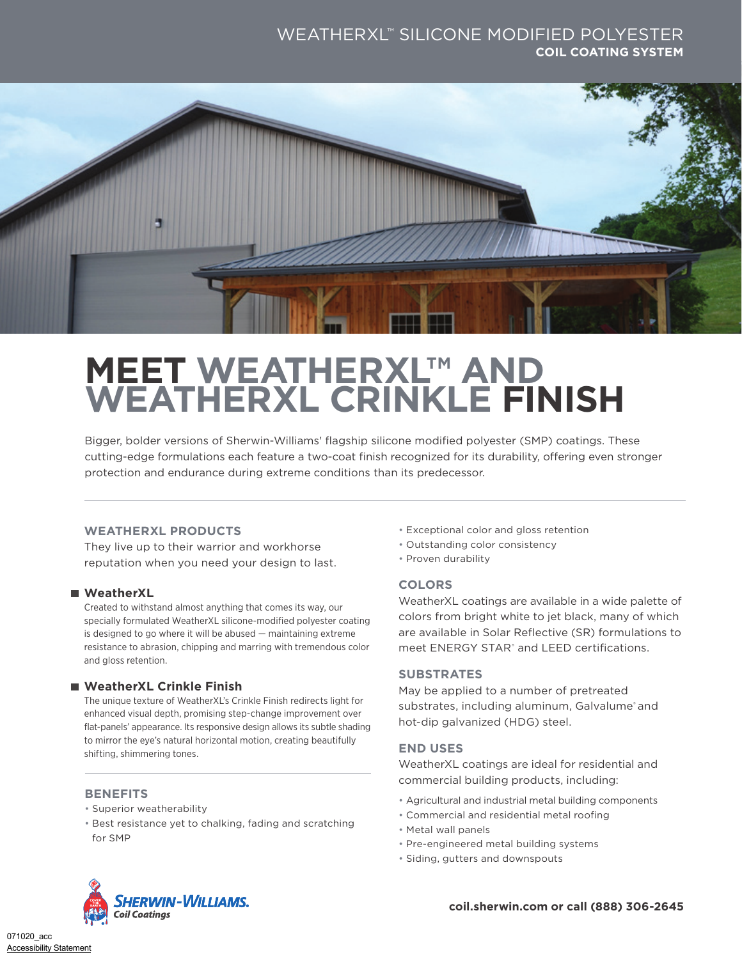### WEATHERXL™ SILICONE MODIFIED POLYESTER **COIL COATING SYSTEM**



# **MEET WEATHERXL™ AND WEATHERXL CRINKLE FINISH**

Bigger, bolder versions of Sherwin-Williams' flagship silicone modified polyester (SMP) coatings. These cutting-edge formulations each feature a two-coat finish recognized for its durability, offering even stronger protection and endurance during extreme conditions than its predecessor.

#### **WEATHERXL PRODUCTS**

They live up to their warrior and workhorse reputation when you need your design to last.

#### **WeatherXL**

Created to withstand almost anything that comes its way, our specially formulated WeatherXL silicone-modified polyester coating is designed to go where it will be abused — maintaining extreme resistance to abrasion, chipping and marring with tremendous color and gloss retention.

#### **WeatherXL Crinkle Finish**

The unique texture of WeatherXL's Crinkle Finish redirects light for enhanced visual depth, promising step-change improvement over flat-panels' appearance. Its responsive design allows its subtle shading to mirror the eye's natural horizontal motion, creating beautifully shifting, shimmering tones.

#### **BENEFITS**

- Superior weatherability
- Best resistance yet to chalking, fading and scratching for SMP
- Exceptional color and gloss retention
- Outstanding color consistency
- Proven durability

#### **COLORS**

WeatherXL coatings are available in a wide palette of colors from bright white to jet black, many of which are available in Solar Reflective (SR) formulations to meet ENERGY STAR<sup>®</sup> and LEED certifications.

#### **SUBSTRATES**

May be applied to a number of pretreated substrates, including aluminum, Galvalume and hot-dip galvanized (HDG) steel.

#### **END USES**

WeatherXL coatings are ideal for residential and commercial building products, including:

- Agricultural and industrial metal building components
- Commercial and residential metal roofing
- Metal wall panels
- Pre-engineered metal building systems
- Siding, gutters and downspouts